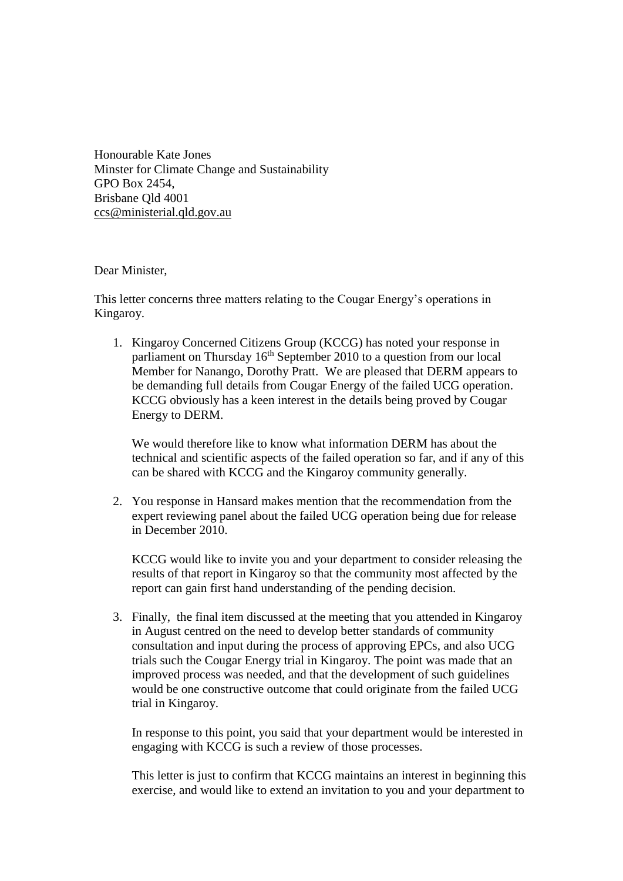Honourable Kate Jones Minster for Climate Change and Sustainability GPO Box 2454, Brisbane Qld 4001 ccs@ministerial.qld.gov.au

Dear Minister,

This letter concerns three matters relating to the Cougar Energy's operations in Kingaroy.

1. Kingaroy Concerned Citizens Group (KCCG) has noted your response in parliament on Thursday  $16<sup>th</sup>$  September 2010 to a question from our local Member for Nanango, Dorothy Pratt. We are pleased that DERM appears to be demanding full details from Cougar Energy of the failed UCG operation. KCCG obviously has a keen interest in the details being proved by Cougar Energy to DERM.

We would therefore like to know what information DERM has about the technical and scientific aspects of the failed operation so far, and if any of this can be shared with KCCG and the Kingaroy community generally.

2. You response in Hansard makes mention that the recommendation from the expert reviewing panel about the failed UCG operation being due for release in December 2010.

KCCG would like to invite you and your department to consider releasing the results of that report in Kingaroy so that the community most affected by the report can gain first hand understanding of the pending decision.

3. Finally, the final item discussed at the meeting that you attended in Kingaroy in August centred on the need to develop better standards of community consultation and input during the process of approving EPCs, and also UCG trials such the Cougar Energy trial in Kingaroy. The point was made that an improved process was needed, and that the development of such guidelines would be one constructive outcome that could originate from the failed UCG trial in Kingaroy.

In response to this point, you said that your department would be interested in engaging with KCCG is such a review of those processes.

This letter is just to confirm that KCCG maintains an interest in beginning this exercise, and would like to extend an invitation to you and your department to